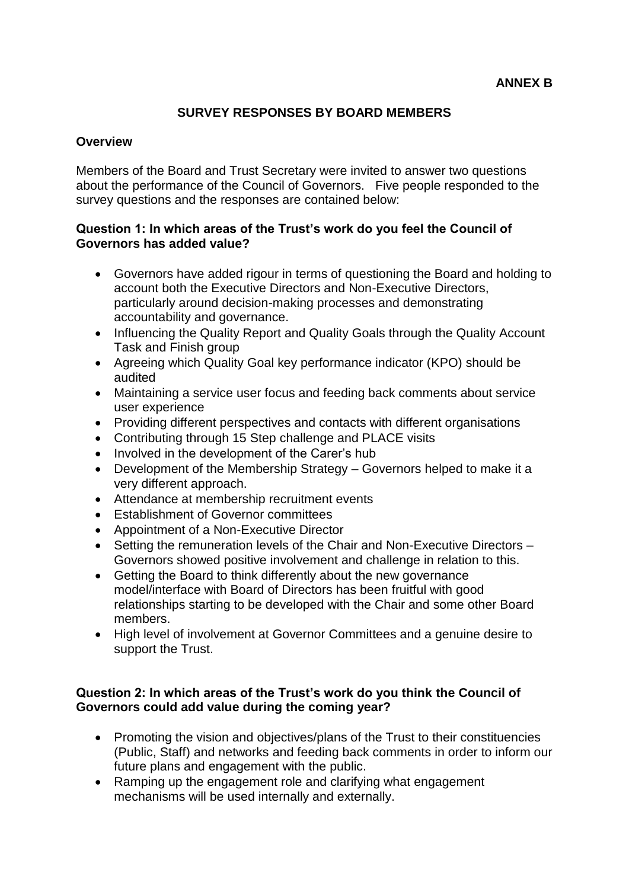## **SURVEY RESPONSES BY BOARD MEMBERS**

## **Overview**

Members of the Board and Trust Secretary were invited to answer two questions about the performance of the Council of Governors. Five people responded to the survey questions and the responses are contained below:

## **Question 1: In which areas of the Trust's work do you feel the Council of Governors has added value?**

- Governors have added rigour in terms of questioning the Board and holding to account both the Executive Directors and Non-Executive Directors, particularly around decision-making processes and demonstrating accountability and governance.
- Influencing the Quality Report and Quality Goals through the Quality Account Task and Finish group
- Agreeing which Quality Goal key performance indicator (KPO) should be audited
- Maintaining a service user focus and feeding back comments about service user experience
- Providing different perspectives and contacts with different organisations
- Contributing through 15 Step challenge and PLACE visits
- Involved in the development of the Carer's hub
- Development of the Membership Strategy Governors helped to make it a very different approach.
- Attendance at membership recruitment events
- **Establishment of Governor committees**
- Appointment of a Non-Executive Director
- Setting the remuneration levels of the Chair and Non-Executive Directors -Governors showed positive involvement and challenge in relation to this.
- Getting the Board to think differently about the new governance model/interface with Board of Directors has been fruitful with good relationships starting to be developed with the Chair and some other Board members.
- High level of involvement at Governor Committees and a genuine desire to support the Trust.

## **Question 2: In which areas of the Trust's work do you think the Council of Governors could add value during the coming year?**

- Promoting the vision and objectives/plans of the Trust to their constituencies (Public, Staff) and networks and feeding back comments in order to inform our future plans and engagement with the public.
- Ramping up the engagement role and clarifying what engagement mechanisms will be used internally and externally.